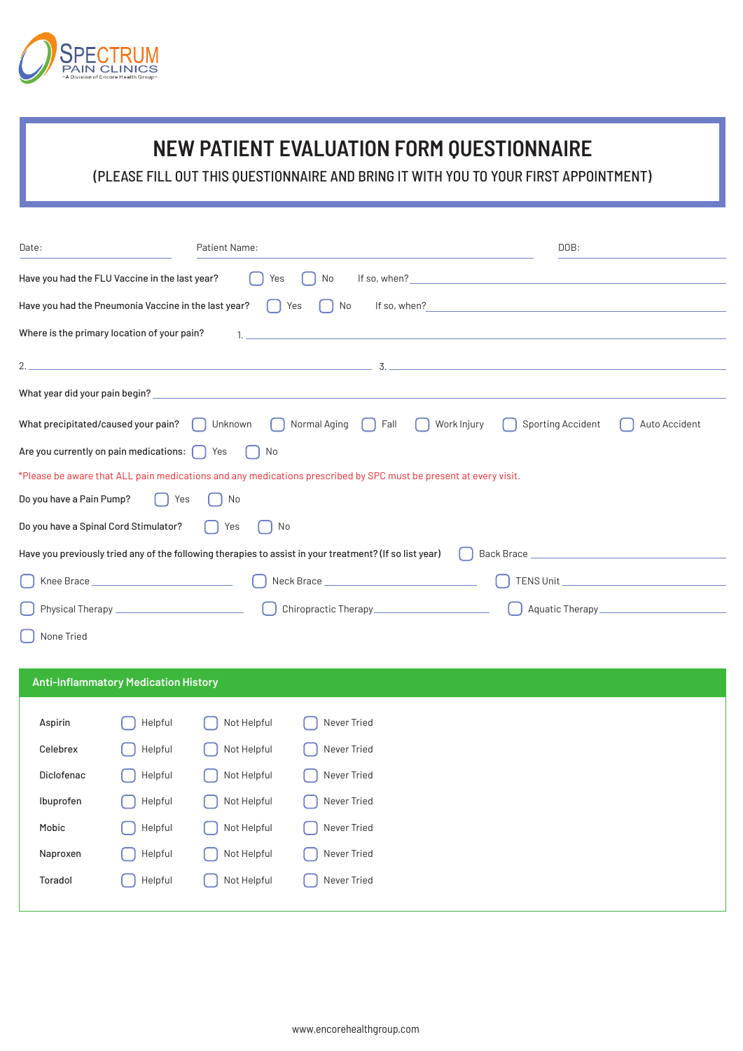

## **NEW PATIENT EVALUATION FORM QUESTIONNAIRE**

(PLEASE FILL OUT THIS QUESTIONNAIRE AND BRING IT WITH YOU TO YOUR FIRST APPOINTMENT)

| Date:                                                |                                             | <b>Patient Name:</b> |                                                                                                                                                                                                                                    |             | DOB:                                                                                                                                                                                                                           |               |  |
|------------------------------------------------------|---------------------------------------------|----------------------|------------------------------------------------------------------------------------------------------------------------------------------------------------------------------------------------------------------------------------|-------------|--------------------------------------------------------------------------------------------------------------------------------------------------------------------------------------------------------------------------------|---------------|--|
| Have you had the FLU Vaccine in the last year?       |                                             | Yes                  | No                                                                                                                                                                                                                                 |             | If so, when? The contract of the contract of the contract of the contract of the contract of the contract of the contract of the contract of the contract of the contract of the contract of the contract of the contract of t |               |  |
| Have you had the Pneumonia Vaccine in the last year? |                                             |                      | No<br>Yes                                                                                                                                                                                                                          |             | If so, when? $\frac{1}{2}$                                                                                                                                                                                                     |               |  |
| Where is the primary location of your pain?          |                                             |                      | $\mathbf{1}$ , and the contract of the contract of the contract of the contract of the contract of the contract of the contract of the contract of the contract of the contract of the contract of the contract of the contract of |             |                                                                                                                                                                                                                                |               |  |
| 2.                                                   |                                             |                      | . The contract of the contract of the contract of $\sim$ 3. The contract of the contract of $\sim$                                                                                                                                 |             |                                                                                                                                                                                                                                |               |  |
| What year did your pain begin?                       |                                             |                      | <u> 1980 - Johann Barbara, martxa alemaniar amerikan a</u>                                                                                                                                                                         |             |                                                                                                                                                                                                                                |               |  |
| What precipitated/caused your pain?                  |                                             | Unknown              | Normal Aging<br>Fall                                                                                                                                                                                                               | Work Injury | Sporting Accident                                                                                                                                                                                                              | Auto Accident |  |
| Are you currently on pain medications:               |                                             | Yes<br>No            |                                                                                                                                                                                                                                    |             |                                                                                                                                                                                                                                |               |  |
|                                                      |                                             |                      | *Please be aware that ALL pain medications and any medications prescribed by SPC must be present at every visit.                                                                                                                   |             |                                                                                                                                                                                                                                |               |  |
| Do you have a Pain Pump?                             | Yes                                         | No                   |                                                                                                                                                                                                                                    |             |                                                                                                                                                                                                                                |               |  |
| Do you have a Spinal Cord Stimulator?                |                                             | Yes<br>No            |                                                                                                                                                                                                                                    |             |                                                                                                                                                                                                                                |               |  |
|                                                      |                                             |                      | Have you previously tried any of the following therapies to assist in your treatment? (If so list year)                                                                                                                            |             |                                                                                                                                                                                                                                |               |  |
|                                                      |                                             |                      |                                                                                                                                                                                                                                    |             | TENS Unit                                                                                                                                                                                                                      |               |  |
|                                                      |                                             |                      |                                                                                                                                                                                                                                    |             |                                                                                                                                                                                                                                |               |  |
| None Tried                                           |                                             |                      |                                                                                                                                                                                                                                    |             |                                                                                                                                                                                                                                |               |  |
|                                                      |                                             |                      |                                                                                                                                                                                                                                    |             |                                                                                                                                                                                                                                |               |  |
|                                                      | <b>Anti-Inflammatory Medication History</b> |                      |                                                                                                                                                                                                                                    |             |                                                                                                                                                                                                                                |               |  |
| Aspirin                                              | Helpful                                     | Not Helpful          | Never Tried                                                                                                                                                                                                                        |             |                                                                                                                                                                                                                                |               |  |
| Celebrex                                             | Helpful                                     | Not Helpful          | Never Tried                                                                                                                                                                                                                        |             |                                                                                                                                                                                                                                |               |  |
| Diclofenac                                           | Helpful                                     | Not Helpful          | Never Tried                                                                                                                                                                                                                        |             |                                                                                                                                                                                                                                |               |  |
| Ibuprofen                                            | Helpful                                     | Not Helpful          | Never Tried                                                                                                                                                                                                                        |             |                                                                                                                                                                                                                                |               |  |
| Mobic                                                | Helpful                                     | Not Helpful          | Never Tried                                                                                                                                                                                                                        |             |                                                                                                                                                                                                                                |               |  |
| Naproxen                                             | Helpful                                     | Not Helpful          | Never Tried                                                                                                                                                                                                                        |             |                                                                                                                                                                                                                                |               |  |
| Toradol                                              | Helpful                                     | Not Helpful          | Never Tried                                                                                                                                                                                                                        |             |                                                                                                                                                                                                                                |               |  |
|                                                      |                                             |                      |                                                                                                                                                                                                                                    |             |                                                                                                                                                                                                                                |               |  |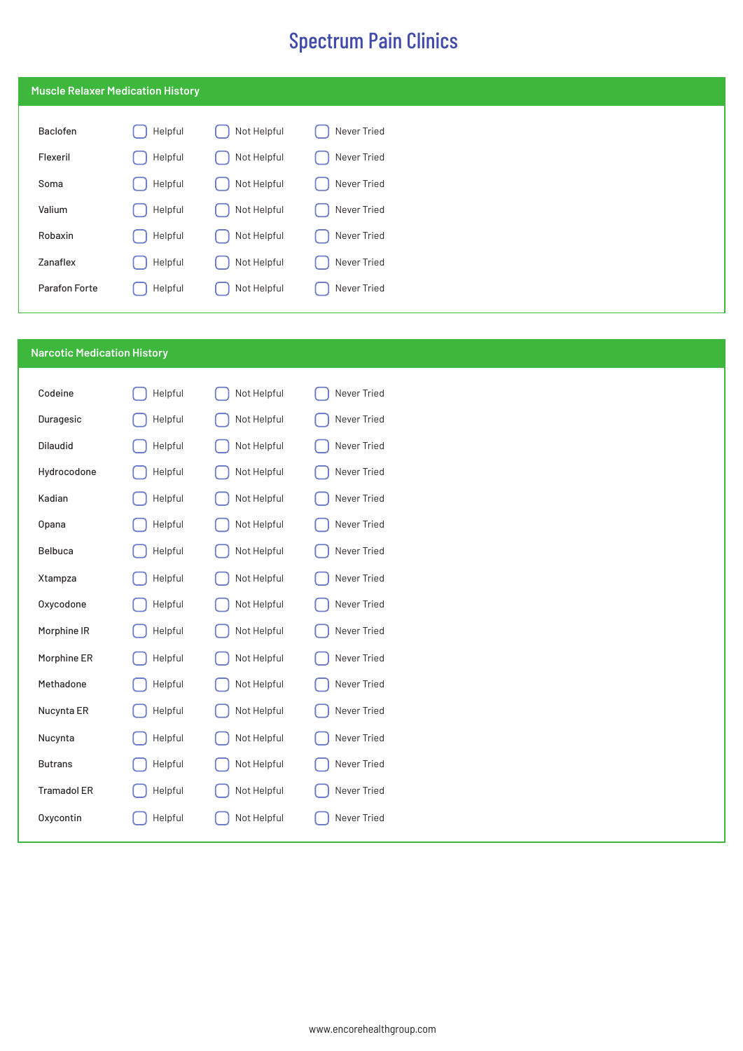|               | <b>Muscle Relaxer Medication History</b> |             |             |
|---------------|------------------------------------------|-------------|-------------|
| Baclofen      | Helpful                                  | Not Helpful | Never Tried |
| Flexeril      | Helpful                                  | Not Helpful | Never Tried |
| Soma          | Helpful                                  | Not Helpful | Never Tried |
| Valium        | Helpful                                  | Not Helpful | Never Tried |
| Robaxin       | Helpful                                  | Not Helpful | Never Tried |
| Zanaflex      | Helpful                                  | Not Helpful | Never Tried |
| Parafon Forte | Helpful                                  | Not Helpful | Never Tried |

## **Narcotic Medication History**

| Codeine            | Helpful | Not Helpful | Never Tried |
|--------------------|---------|-------------|-------------|
| Duragesic          | Helpful | Not Helpful | Never Tried |
| <b>Dilaudid</b>    | Helpful | Not Helpful | Never Tried |
| Hydrocodone        | Helpful | Not Helpful | Never Tried |
| Kadian             | Helpful | Not Helpful | Never Tried |
| Opana              | Helpful | Not Helpful | Never Tried |
| Belbuca            | Helpful | Not Helpful | Never Tried |
| Xtampza            | Helpful | Not Helpful | Never Tried |
| Oxycodone          | Helpful | Not Helpful | Never Tried |
| Morphine IR        | Helpful | Not Helpful | Never Tried |
| Morphine ER        | Helpful | Not Helpful | Never Tried |
| Methadone          | Helpful | Not Helpful | Never Tried |
| Nucynta ER         | Helpful | Not Helpful | Never Tried |
| Nucynta            | Helpful | Not Helpful | Never Tried |
| <b>Butrans</b>     | Helpful | Not Helpful | Never Tried |
| <b>Tramadol ER</b> | Helpful | Not Helpful | Never Tried |
| <b>Oxycontin</b>   | Helpful | Not Helpful | Never Tried |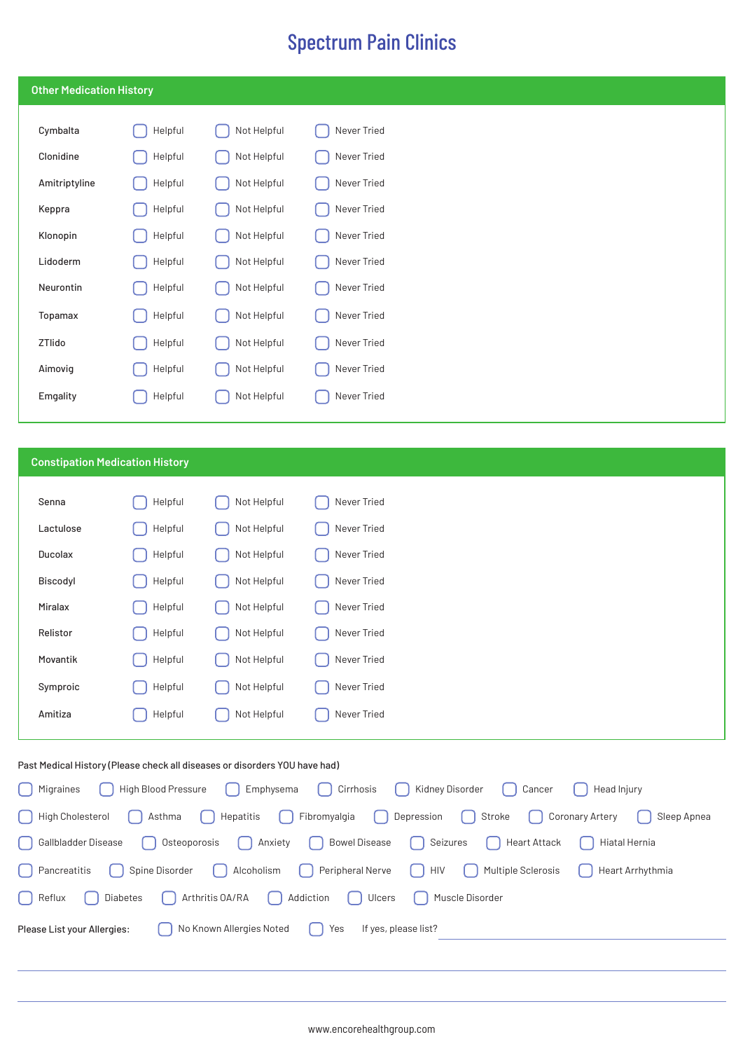| <b>Other Medication History</b> |         |             |             |
|---------------------------------|---------|-------------|-------------|
| Cymbalta                        | Helpful | Not Helpful | Never Tried |
| Clonidine                       | Helpful | Not Helpful | Never Tried |
| Amitriptyline                   | Helpful | Not Helpful | Never Tried |
| Keppra                          | Helpful | Not Helpful | Never Tried |
| Klonopin                        | Helpful | Not Helpful | Never Tried |
| Lidoderm                        | Helpful | Not Helpful | Never Tried |
| Neurontin                       | Helpful | Not Helpful | Never Tried |
| Topamax                         | Helpful | Not Helpful | Never Tried |
| ZTlido                          | Helpful | Not Helpful | Never Tried |
| Aimovig                         | Helpful | Not Helpful | Never Tried |
| Emgality                        | Helpful | Not Helpful | Never Tried |

## **Constipation Medication History**

| Senna     | Helpful | Not Helpful | Never Tried |
|-----------|---------|-------------|-------------|
| Lactulose | Helpful | Not Helpful | Never Tried |
| Ducolax   | Helpful | Not Helpful | Never Tried |
| Biscodyl  | Helpful | Not Helpful | Never Tried |
| Miralax   | Helpful | Not Helpful | Never Tried |
| Relistor  | Helpful | Not Helpful | Never Tried |
| Movantik  | Helpful | Not Helpful | Never Tried |
| Symproic  | Helpful | Not Helpful | Never Tried |
| Amitiza   | Helpful | Not Helpful | Never Tried |
|           |         |             |             |

### Past Medical History (Please check all diseases or disorders YOU have had)

| [ ] High Blood Pressure [ ] Emphysema [ ] Cirrhosis [ ] Kidney Disorder [ ] Cancer<br>  Migraines<br>Head Injury                   |
|------------------------------------------------------------------------------------------------------------------------------------|
| Stroke   Coronary Artery   Hepatitis   Fibromyalgia   Depression   Stroke   Coronary Artery<br>    High Cholesterol<br>Sleep Apnea |
| [ Gallbladder Disease [ ] Osteoporosis [ ] Anxiety [ ] Bowel Disease [ ] Seizures<br>    Heart Attack     Hiatal Hernia            |
| Spine Disorder ( ) Alcoholism ( ) Peripheral Nerve   HIV   Multiple Sclerosis   Heart Arrhythmia<br>  Pancreatitis                 |
| [ ] Arthritis OA/RA [ ] Addiction [ ] Ulcers<br>  Diabetes<br>$\left  \right $ Reflux<br>  Muscle Disorder                         |
| No Known Allergies Noted   Yes<br>Please List your Allergies:<br>If yes, please list?                                              |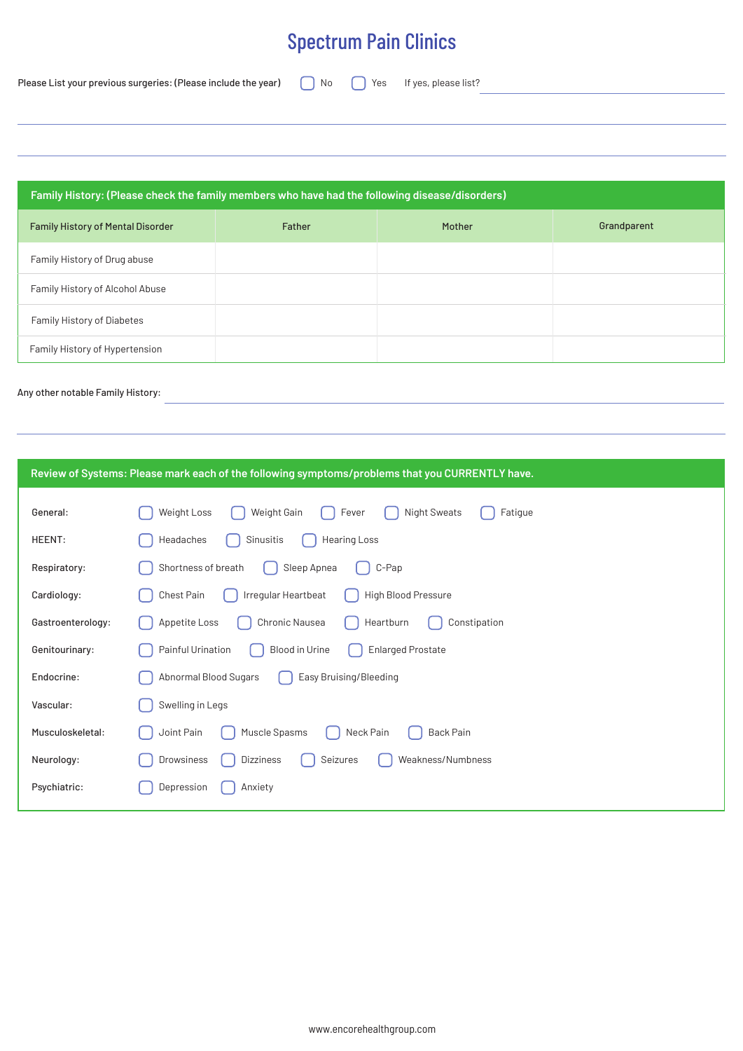| Please List your previous surgeries: (Please include the year) |  |  |  |  |  |  |
|----------------------------------------------------------------|--|--|--|--|--|--|
|----------------------------------------------------------------|--|--|--|--|--|--|

No **C** Yes If yes, please list?

| Family History: (Please check the family members who have had the following disease/disorders) |        |        |             |  |  |
|------------------------------------------------------------------------------------------------|--------|--------|-------------|--|--|
| <b>Family History of Mental Disorder</b>                                                       | Father | Mother | Grandparent |  |  |
| Family History of Drug abuse                                                                   |        |        |             |  |  |
| Family History of Alcohol Abuse                                                                |        |        |             |  |  |
| Family History of Diabetes                                                                     |        |        |             |  |  |
| Family History of Hypertension                                                                 |        |        |             |  |  |

<u> 1980 - Johann Barn, amerikansk politiker (</u>

### Any other notable Family History:

| Review of Systems: Please mark each of the following symptoms/problems that you CURRENTLY have. |                                                                       |  |  |  |
|-------------------------------------------------------------------------------------------------|-----------------------------------------------------------------------|--|--|--|
|                                                                                                 |                                                                       |  |  |  |
| General:                                                                                        | Weight Gain<br><b>Night Sweats</b><br>Weight Loss<br>Fever<br>Fatigue |  |  |  |
| HEENT:                                                                                          | Headaches<br>Sinusitis<br>Hearing Loss                                |  |  |  |
| Respiratory:                                                                                    | Shortness of breath<br>C-Pap<br>Sleep Apnea                           |  |  |  |
| Cardiology:                                                                                     | High Blood Pressure<br>Chest Pain<br>Irregular Heartbeat              |  |  |  |
| Gastroenterology:                                                                               | Chronic Nausea<br>Appetite Loss<br>Heartburn<br>Constipation          |  |  |  |
| Genitourinary:                                                                                  | Painful Urination<br><b>Enlarged Prostate</b><br>Blood in Urine       |  |  |  |
| Endocrine:                                                                                      | Abnormal Blood Sugars<br>Easy Bruising/Bleeding                       |  |  |  |
| Vascular:                                                                                       | Swelling in Legs                                                      |  |  |  |
| Musculoskeletal:                                                                                | Muscle Spasms<br>Neck Pain<br><b>Back Pain</b><br>Joint Pain          |  |  |  |
| Neurology:                                                                                      | Weakness/Numbness<br>Drowsiness<br>Dizziness<br>Seizures              |  |  |  |
| Psychiatric:                                                                                    | Depression<br>Anxiety                                                 |  |  |  |